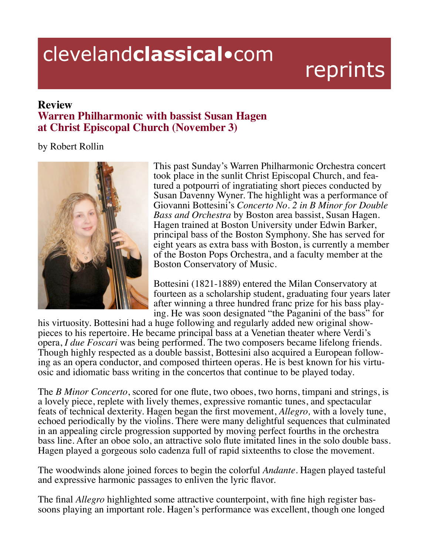## clevelandclassical.com

## reprints

## **Review Warren Philharmonic with bassist Susan Hagen at Christ Episcopal Church (November 3)**

## by Robert Rollin



This past Sunday's Warren Philharmonic Orchestra concert took place in the sunlit Christ Episcopal Church, and featured a potpourri of ingratiating short pieces conducted by Susan Davenny Wyner. The highlight was a performance of Giovanni Bottesini's *Concerto No. 2 in B Minor for Double Bass and Orchestra* by Boston area bassist, Susan Hagen. Hagen trained at Boston University under Edwin Barker, principal bass of the Boston Symphony. She has served for eight years as extra bass with Boston, is currently a member of the Boston Pops Orchestra, and a faculty member at the Boston Conservatory of Music.

Bottesini (1821-1889) entered the Milan Conservatory at fourteen as a scholarship student, graduating four years later after winning a three hundred franc prize for his bass play- ing. He was soon designated "the Paganini of the bass" for

his virtuosity. Bottesini had a huge following and regularly added new original show- pieces to his repertoire. He became principal bass at a Venetian theater where Verdi's opera, *I due Foscari* was being performed. The two composers became lifelong friends. Though highly respected as a double bassist, Bottesini also acquired a European following as an opera conductor, and composed thirteen operas. He is best known for his virtuosic and idiomatic bass writing in the concertos that continue to be played today.

The *B Minor Concerto*, scored for one flute, two oboes, two horns, timpani and strings, is a lovely piece, replete with lively themes, expressive romantic tunes, and spectacular feats of technical dexterity. Hagen began the first movement, *Allegro*, with a lovely tune, echoed periodically by the violins. There were many delightful sequences that culminated in an appealing circle progression supported by moving perfect fourths in the orchestra bass line. After an oboe solo, an attractive solo flute imitated lines in the solo double bass. Hagen played a gorgeous solo cadenza full of rapid sixteenths to close the movement.

The woodwinds alone joined forces to begin the colorful *Andante.* Hagen played tasteful and expressive harmonic passages to enliven the lyric flavor.

The final *Allegro* highlighted some attractive counterpoint, with fine high register bassoons playing an important role. Hagen's performance was excellent, though one longed